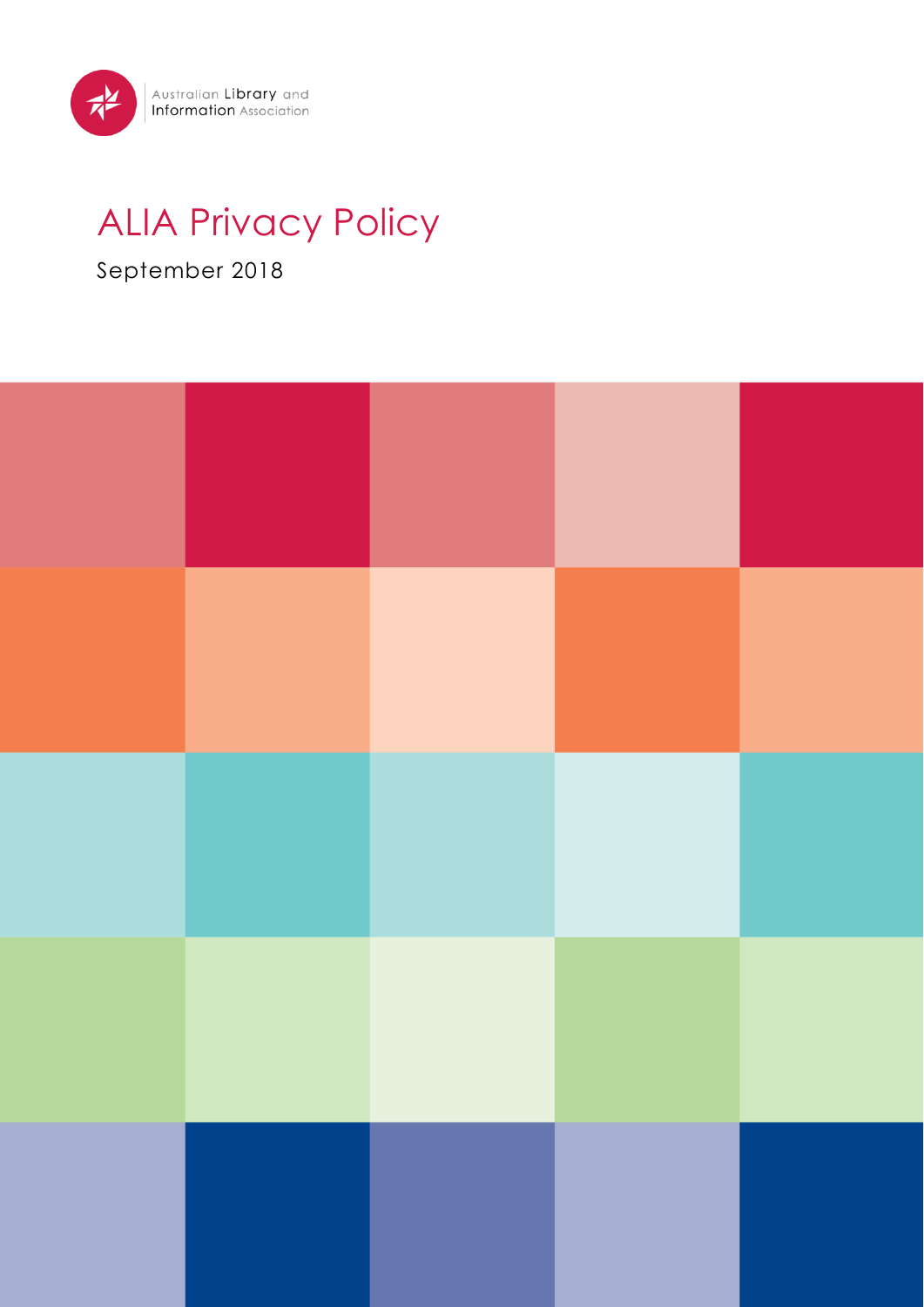

# ALIA Privacy Policy

## September 2018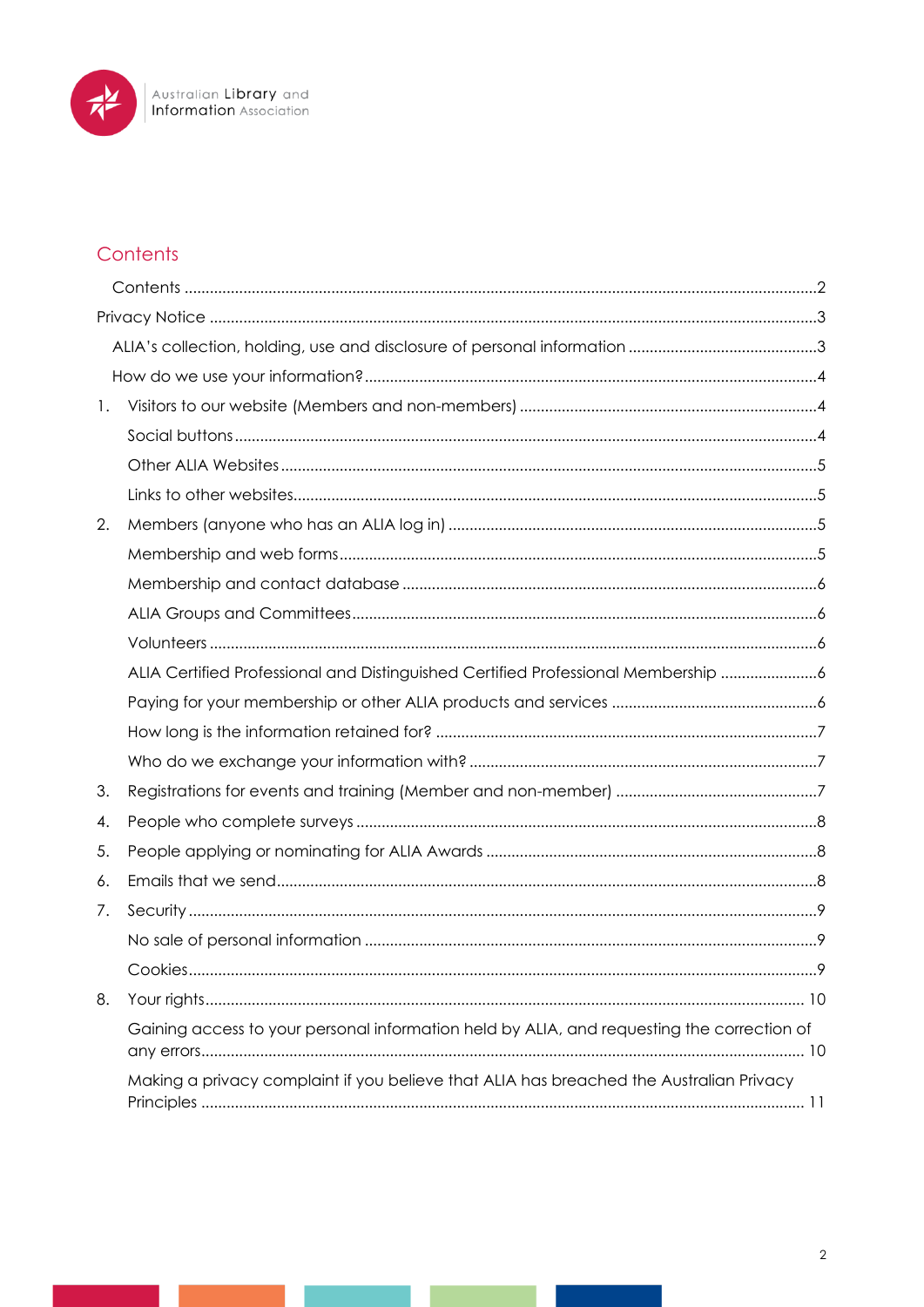

## <span id="page-1-0"></span>Contents

| 1. |                                                                                            |   |
|----|--------------------------------------------------------------------------------------------|---|
|    |                                                                                            |   |
|    |                                                                                            |   |
|    |                                                                                            |   |
| 2. |                                                                                            |   |
|    |                                                                                            |   |
|    |                                                                                            |   |
|    |                                                                                            |   |
|    |                                                                                            |   |
|    | ALIA Certified Professional and Distinguished Certified Professional Membership 6          |   |
|    |                                                                                            |   |
|    |                                                                                            |   |
|    |                                                                                            |   |
| 3. |                                                                                            |   |
| 4. |                                                                                            |   |
| 5. |                                                                                            |   |
| 6. |                                                                                            |   |
| 7. |                                                                                            |   |
|    |                                                                                            |   |
|    | Cookies.                                                                                   | 9 |
| 8. |                                                                                            |   |
|    | Gaining access to your personal information held by ALIA, and requesting the correction of |   |
|    | Making a privacy complaint if you believe that ALIA has breached the Australian Privacy    |   |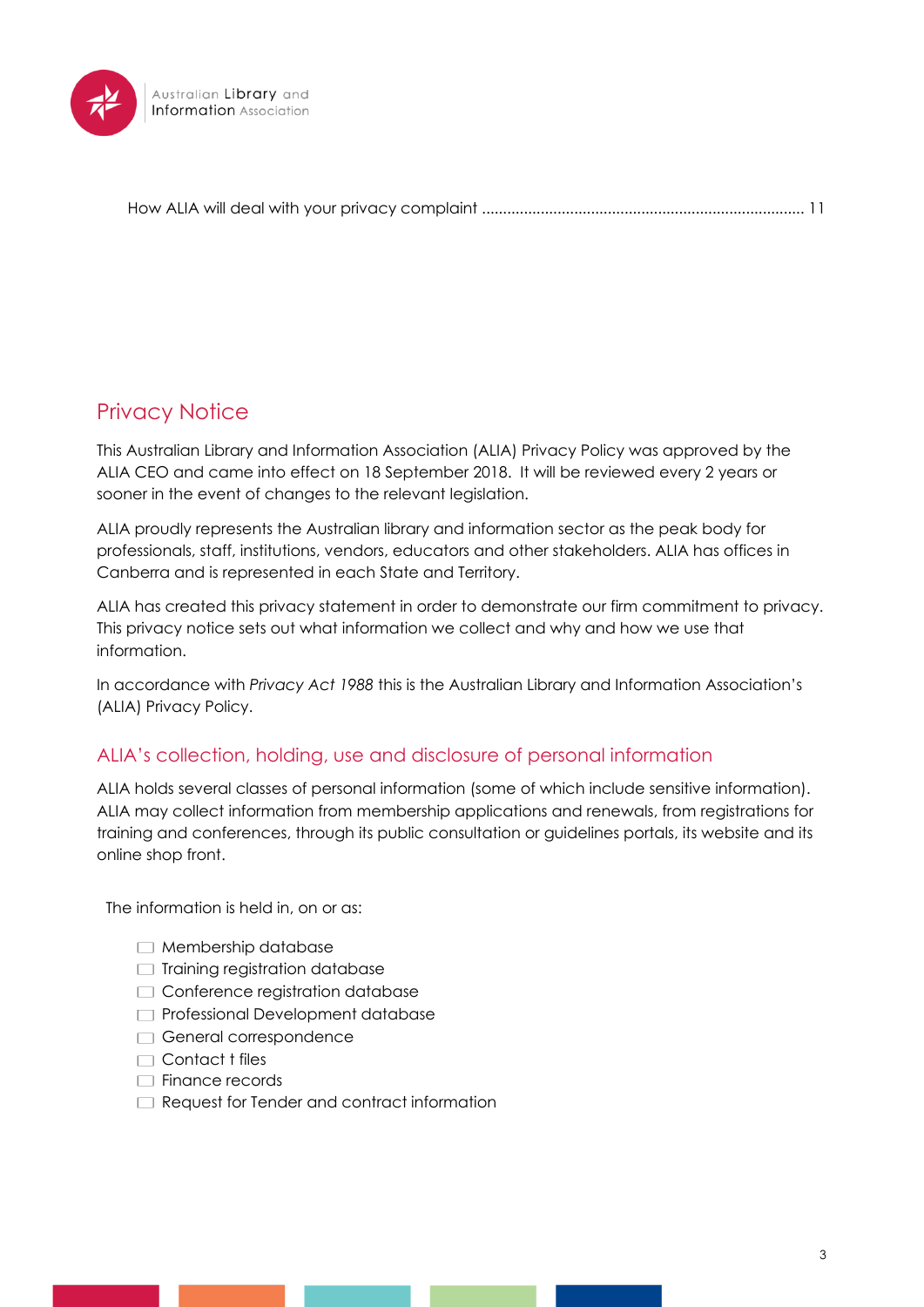

[How ALIA will deal with your privacy complaint](#page-10-1) ............................................................................. 11

## <span id="page-2-0"></span>Privacy Notice

This Australian Library and Information Association (ALIA) Privacy Policy was approved by the ALIA CEO and came into effect on 18 September 2018. It will be reviewed every 2 years or sooner in the event of changes to the relevant legislation.

[ALIA](file:///C:/Users/jdawes/AppData/Local/Microsoft/Windows/INetCache/jdawes/Desktop/%7borganisation_url%7d) proudly represents the Australian library and information sector as the peak body for professionals, staff, institutions, vendors, educators and other stakeholders. ALIA has offices in Canberra and is represented in each State and Territory.

ALIA has created this privacy statement in order to demonstrate our firm commitment to privacy. This privacy notice sets out what information we collect and why and how we use that information.

In accordance with *Privacy Act 1988* this is the Australian Library and Information Association's (ALIA) Privacy Policy.

## <span id="page-2-1"></span>ALIA's collection, holding, use and disclosure of personal information

ALIA holds several classes of personal information (some of which include sensitive information). ALIA may collect information from membership applications and renewals, from registrations for training and conferences, through its public consultation or guidelines portals, its website and its online shop front.

The information is held in, on or as:

- $\Box$  Membership database
- $\Box$  Training registration database
- Conference registration database
- **Professional Development database**
- General correspondence
- $\Box$  Contact t files
- $\Box$  Finance records
- Request for Tender and contract information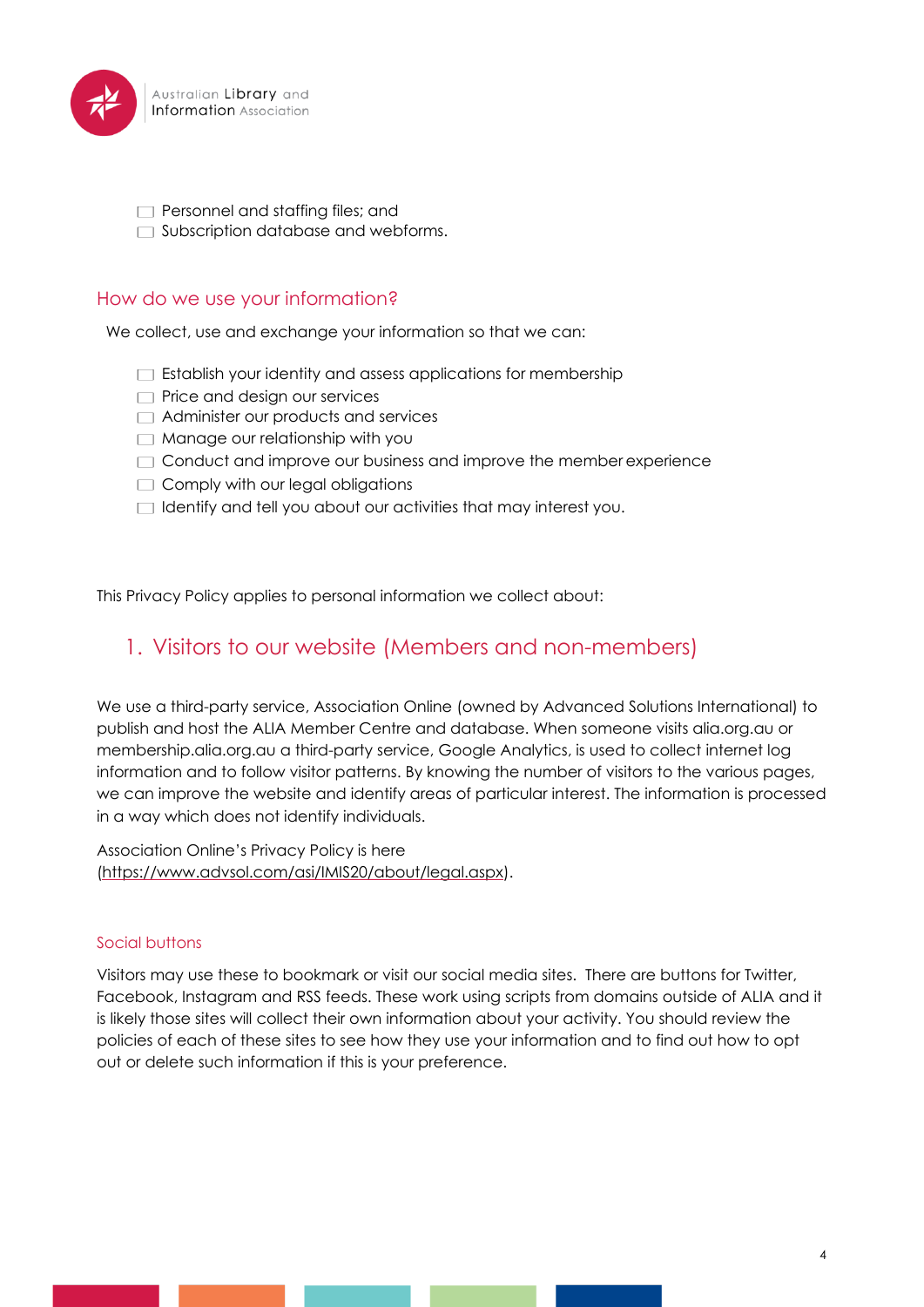

 $\Box$  Personnel and staffing files; and

 $\Box$  Subscription database and webforms.

#### <span id="page-3-0"></span>How do we use your information?

We collect, use and exchange your information so that we can:

- $\Box$  Establish your identity and assess applications for membership
- $\Box$  Price and design our services
- Administer our products and services
- **Manage our relationship with you**
- $\Box$  Conduct and improve our business and improve the member experience
- $\Box$  Comply with our legal obligations
- $\Box$  Identify and tell you about our activities that may interest you.

<span id="page-3-1"></span>This Privacy Policy applies to personal information we collect about:

## 1. Visitors to our website (Members and non-members)

We use a third-party service, Association Online (owned by Advanced Solutions International) to publish and host the ALIA Member Centre and database. When someone visits alia.org.au or membership.alia.org.au a third-party service, Google Analytics, is used to collect internet log information and to follow visitor patterns. By knowing the number of visitors to the various pages, we can improve the website and identify areas of particular interest. The information is processed in a way which does not identify individuals.

Association Online's Privacy Policy is here [\(https://www.advsol.com/asi/IMIS20/about/legal.aspx\)](https://www.advsol.com/asi/IMIS20/about/legal.aspx).

#### <span id="page-3-2"></span>Social buttons

Visitors may use these to bookmark or visit our social media sites. There are buttons for Twitter, Facebook, Instagram and RSS feeds. These work using scripts from domains outside of ALIA and it is likely those sites will collect their own information about your activity. You should review the policies of each of these sites to see how they use your information and to find out how to opt out or delete such information if this is your preference.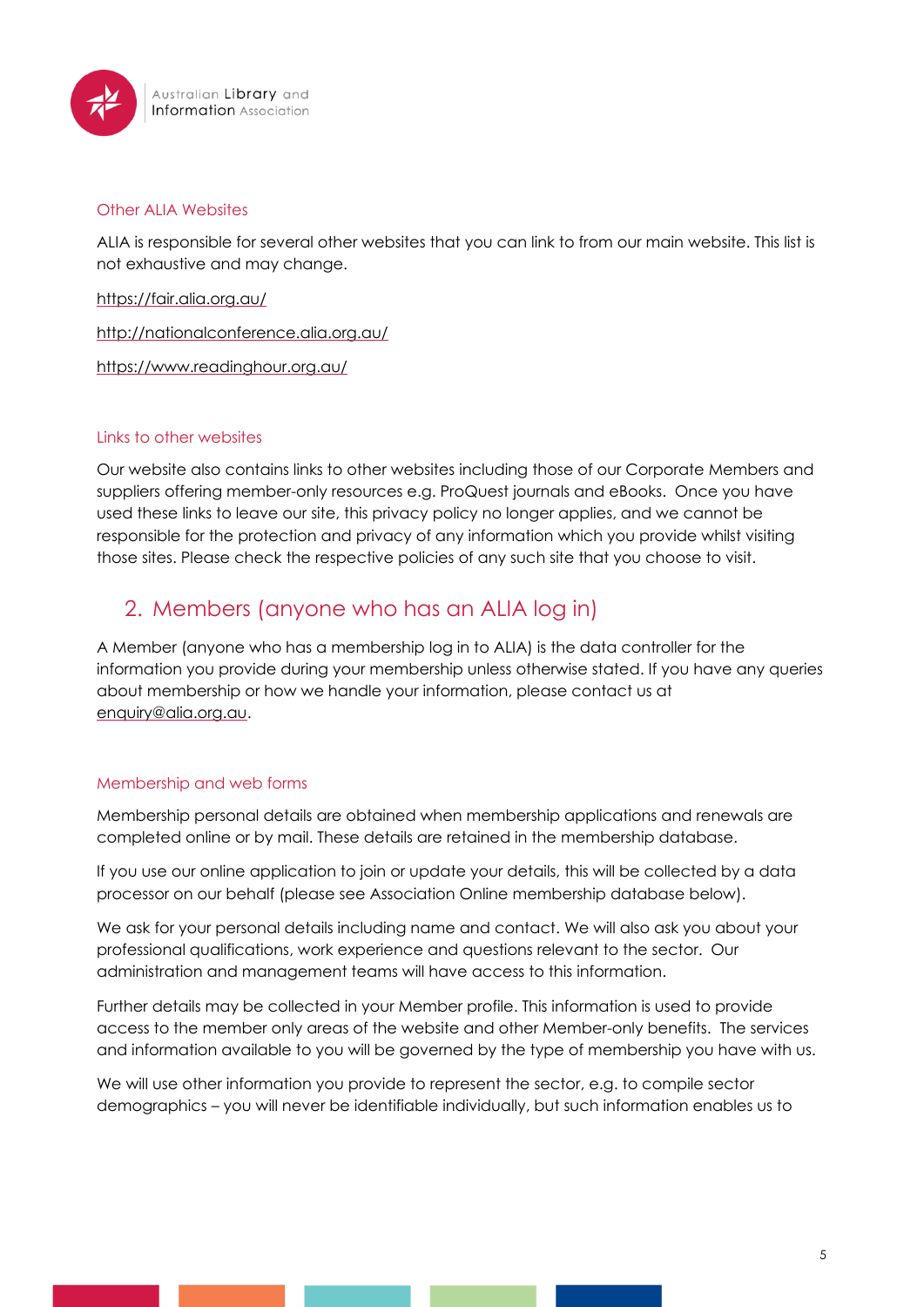

#### <span id="page-4-0"></span>Other ALIA Websites

ALIA is responsible for several other websites that you can link to from our main website. This list is not exhaustive and may change.

<https://fair.alia.org.au/>

<http://nationalconference.alia.org.au/>

<https://www.readinghour.org.au/>

#### <span id="page-4-1"></span>Links to other websites

Our website also contains links to other websites including those of our Corporate Members and suppliers offering member-only resources e.g. ProQuest journals and eBooks. Once you have used these links to leave our site, this privacy policy no longer applies, and we cannot be responsible for the protection and privacy of any information which you provide whilst visiting those sites. Please check the respective policies of any such site that you choose to visit.

## <span id="page-4-2"></span>2. Members (anyone who has an ALIA log in)

A Member (anyone who has a membership log in to ALIA) is the data controller for the information you provide during your membership unless otherwise stated. If you have any queries about membership or how we handle your information, please contact us at [enquiry@alia.org.au.](mailto:enquiry@alia.org.au)

#### <span id="page-4-3"></span>Membership and web forms

Membership personal details are obtained when membership applications and renewals are completed online or by mail. These details are retained in the membership database.

If you use our online application to join or update your details, this will be collected by a data processor on our behalf (please see Association Online membership database below).

We ask for your personal details including name and contact. We will also ask you about your professional qualifications, work experience and questions relevant to the sector. Our administration and management teams will have access to this information.

Further details may be collected in your Member profile. This information is used to provide access to the member only areas of the website and other Member-only benefits. The services and information available to you will be governed by the type of membership you have with us.

We will use other information you provide to represent the sector, e.g. to compile sector demographics – you will never be identifiable individually, but such information enables us to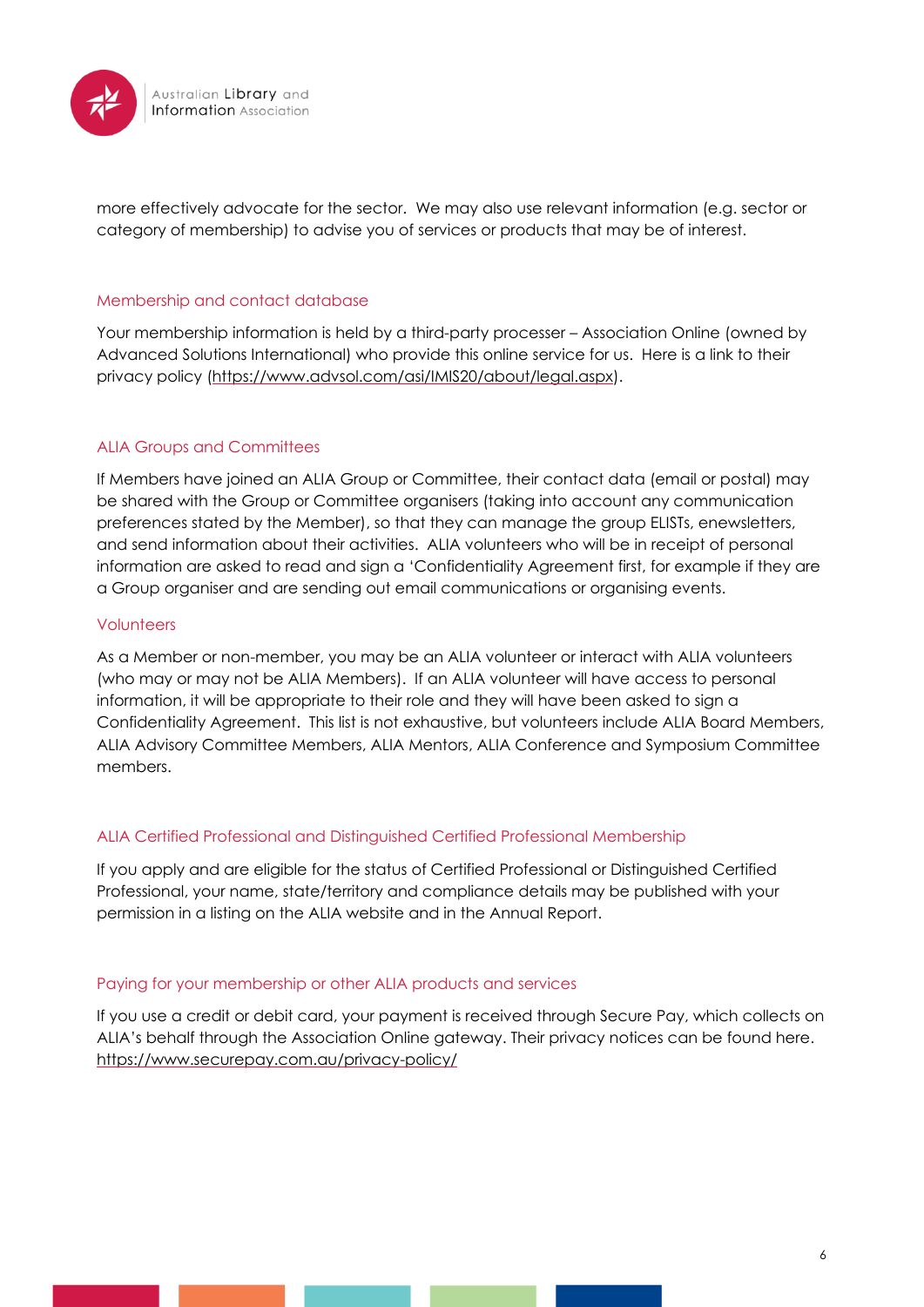

more effectively advocate for the sector. We may also use relevant information (e.g. sector or category of membership) to advise you of services or products that may be of interest.

#### <span id="page-5-0"></span>Membership and contact database

Your membership information is held by a third-party processer – Association Online (owned by Advanced Solutions International) who provide this online service for us. Here is a link to their privacy policy [\(https://www.advsol.com/asi/IMIS20/about/legal.aspx\)](https://www.advsol.com/asi/IMIS20/about/legal.aspx).

#### <span id="page-5-1"></span>ALIA Groups and Committees

If Members have joined an ALIA Group or Committee, their contact data (email or postal) may be shared with the Group or Committee organisers (taking into account any communication preferences stated by the Member), so that they can manage the group ELISTs, enewsletters, and send information about their activities. ALIA volunteers who will be in receipt of personal information are asked to read and sign a 'Confidentiality Agreement first, for example if they are a Group organiser and are sending out email communications or organising events.

#### <span id="page-5-2"></span>Volunteers

As a Member or non-member, you may be an ALIA volunteer or interact with ALIA volunteers (who may or may not be ALIA Members). If an ALIA volunteer will have access to personal information, it will be appropriate to their role and they will have been asked to sign a Confidentiality Agreement. This list is not exhaustive, but volunteers include ALIA Board Members, ALIA Advisory Committee Members, ALIA Mentors, ALIA Conference and Symposium Committee members.

#### <span id="page-5-3"></span>ALIA Certified Professional and Distinguished Certified Professional Membership

If you apply and are eligible for the status of Certified Professional or Distinguished Certified Professional, your name, state/territory and compliance details may be published with your permission in a listing on the ALIA website and in the Annual Report.

#### <span id="page-5-4"></span>Paying for your membership or other ALIA products and services

If you use a credit or debit card, your payment is received through Secure Pay, which collects on ALIA's behalf through the Association Online gateway. Their privacy notices can be found here. <https://www.securepay.com.au/privacy-policy/>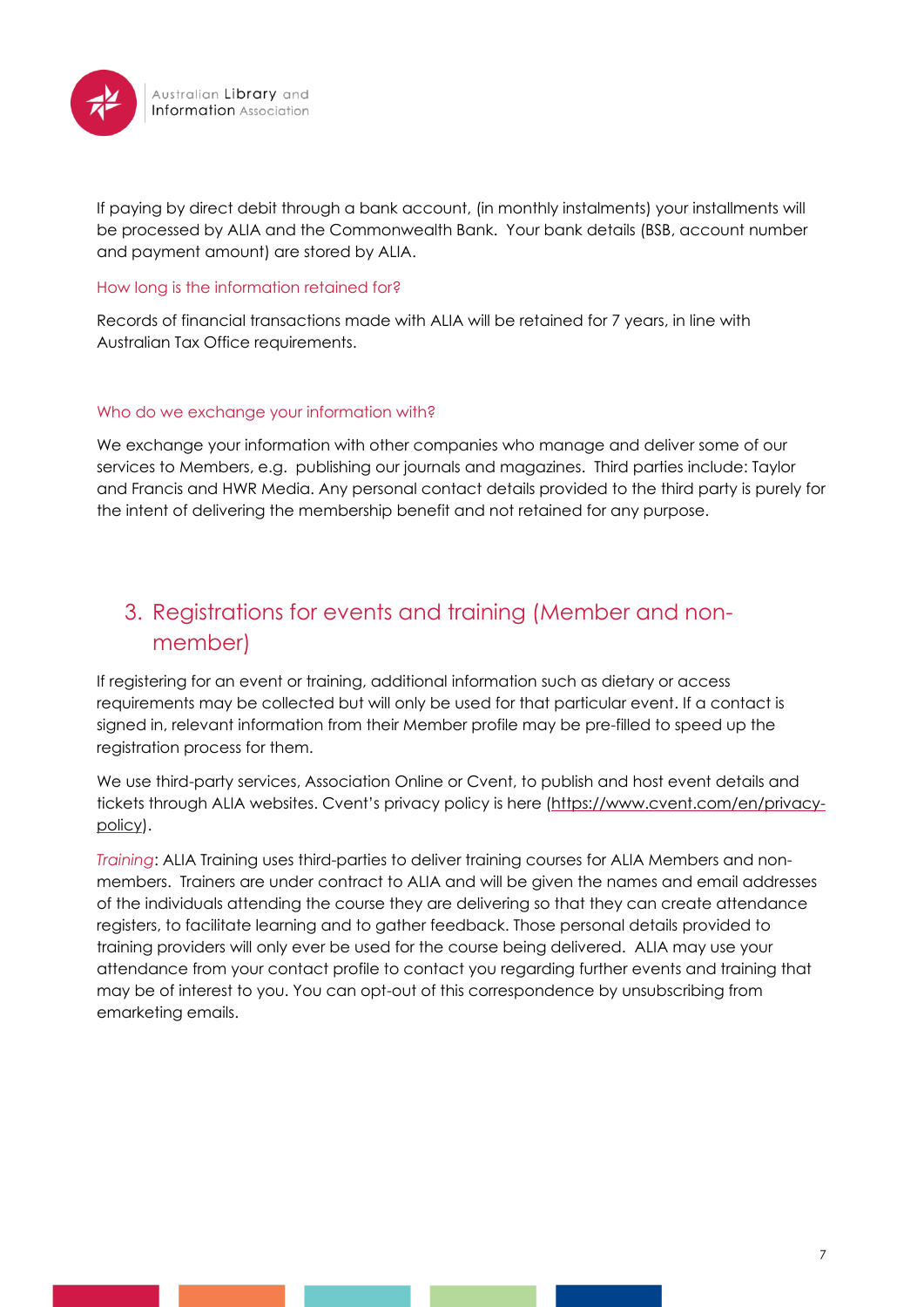

If paying by direct debit through a bank account, (in monthly instalments) your installments will be processed by ALIA and the Commonwealth Bank. Your bank details (BSB, account number and payment amount) are stored by ALIA.

#### <span id="page-6-0"></span>How long is the information retained for?

Records of financial transactions made with ALIA will be retained for 7 years, in line with Australian Tax Office requirements.

#### <span id="page-6-1"></span>Who do we exchange your information with?

We exchange your information with other companies who manage and deliver some of our services to Members, e.g. publishing our journals and magazines. Third parties include: Taylor and Francis and HWR Media. Any personal contact details provided to the third party is purely for the intent of delivering the membership benefit and not retained for any purpose.

## <span id="page-6-2"></span>3. Registrations for events and training (Member and nonmember)

If registering for an event or training, additional information such as dietary or access requirements may be collected but will only be used for that particular event. If a contact is signed in, relevant information from their Member profile may be pre-filled to speed up the registration process for them.

We use third-party services, Association Online or Cvent, to publish and host event details and tickets through ALIA websites. Cvent's privacy policy is here ([https://www.cvent.com/en/privacy](https://www.cvent.com/en/privacy-policy)[policy\)](https://www.cvent.com/en/privacy-policy).

*Training*: ALIA Training uses third-parties to deliver training courses for ALIA Members and nonmembers. Trainers are under contract to ALIA and will be given the names and email addresses of the individuals attending the course they are delivering so that they can create attendance registers, to facilitate learning and to gather feedback. Those personal details provided to training providers will only ever be used for the course being delivered. ALIA may use your attendance from your contact profile to contact you regarding further events and training that may be of interest to you. You can opt-out of this correspondence by unsubscribing from emarketing emails.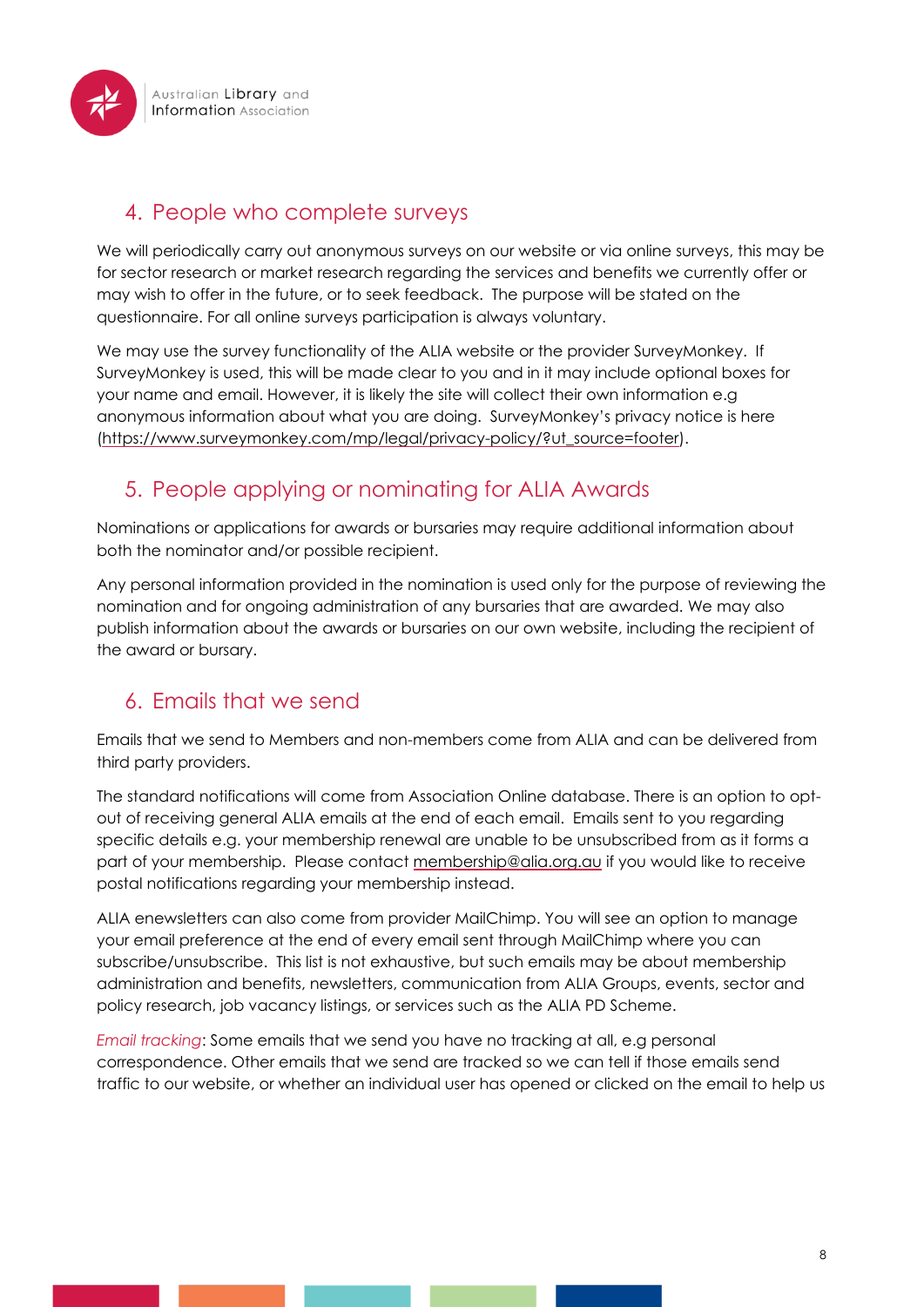

## <span id="page-7-0"></span>4. People who complete surveys

We will periodically carry out anonymous surveys on our website or via online surveys, this may be for sector research or market research regarding the services and benefits we currently offer or may wish to offer in the future, or to seek feedback. The purpose will be stated on the questionnaire. For all online surveys participation is always voluntary.

We may use the survey functionality of the ALIA website or the provider SurveyMonkey. If SurveyMonkey is used, this will be made clear to you and in it may include optional boxes for your name and email. However, it is likely the site will collect their own information e.g anonymous information about what you are doing. SurveyMonkey's privacy notice is here [\(https://www.surveymonkey.com/mp/legal/privacy-policy/?ut\\_source=footer\)](https://www.surveymonkey.com/mp/legal/privacy-policy/?ut_source=footer).

## <span id="page-7-1"></span>5. People applying or nominating for ALIA Awards

Nominations or applications for awards or bursaries may require additional information about both the nominator and/or possible recipient.

Any personal information provided in the nomination is used only for the purpose of reviewing the nomination and for ongoing administration of any bursaries that are awarded. We may also publish information about the awards or bursaries on our own website, including the recipient of the award or bursary.

## <span id="page-7-2"></span>6. Emails that we send

Emails that we send to Members and non-members come from ALIA and can be delivered from third party providers.

The standard notifications will come from Association Online database. There is an option to optout of receiving general ALIA emails at the end of each email. Emails sent to you regarding specific details e.g. your membership renewal are unable to be unsubscribed from as it forms a part of your membership. Please contact [membership@alia.org.au](mailto:membership@alia.org.au) if you would like to receive postal notifications regarding your membership instead.

ALIA enewsletters can also come from provider MailChimp. You will see an option to manage your email preference at the end of every email sent through MailChimp where you can subscribe/unsubscribe. This list is not exhaustive, but such emails may be about membership administration and benefits, newsletters, communication from ALIA Groups, events, sector and policy research, job vacancy listings, or services such as the ALIA PD Scheme.

*Email tracking*: Some emails that we send you have no tracking at all, e.g personal correspondence. Other emails that we send are tracked so we can tell if those emails send traffic to our website, or whether an individual user has opened or clicked on the email to help us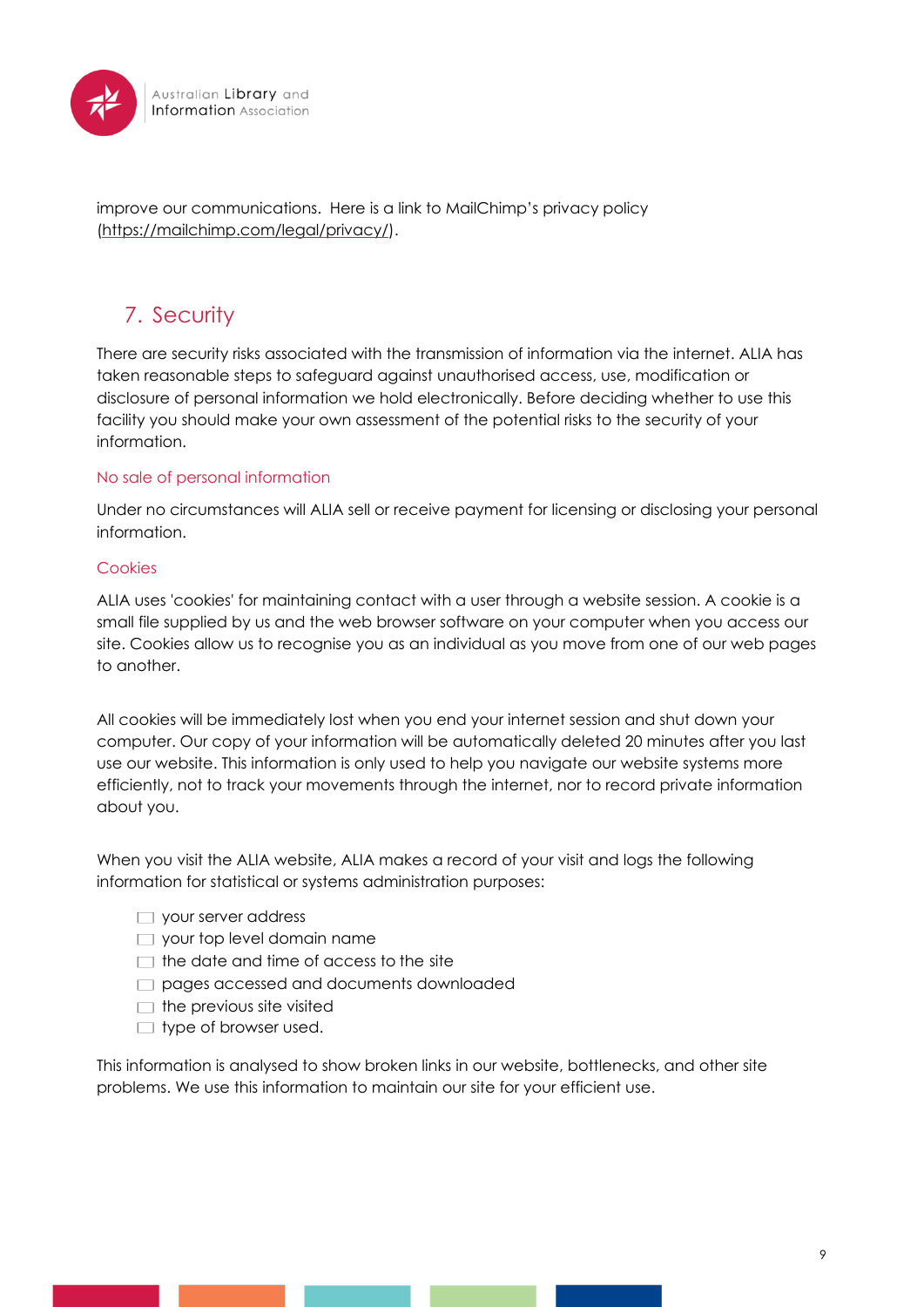

improve our communications. Here is a link to MailChimp's privacy policy [\(https://mailchimp.com/legal/privacy/\)](https://mailchimp.com/legal/privacy/).

## <span id="page-8-0"></span>7. Security

There are security risks associated with the transmission of information via the internet. ALIA has taken reasonable steps to safeguard against unauthorised access, use, modification or disclosure of personal information we hold electronically. Before deciding whether to use this facility you should make your own assessment of the potential risks to the security of your information.

#### <span id="page-8-1"></span>No sale of personal information

Under no circumstances will ALIA sell or receive payment for licensing or disclosing your personal information.

#### <span id="page-8-2"></span>Cookies

ALIA uses 'cookies' for maintaining contact with a user through a website session. A cookie is a small file supplied by us and the web browser software on your computer when you access our site. Cookies allow us to recognise you as an individual as you move from one of our web pages to another.

All cookies will be immediately lost when you end your internet session and shut down your computer. Our copy of your information will be automatically deleted 20 minutes after you last use our website. This information is only used to help you navigate our website systems more efficiently, not to track your movements through the internet, nor to record private information about you.

When you visit the ALIA website, ALIA makes a record of your visit and logs the following information for statistical or systems administration purposes:

- your server address
- $\Box$  your top level domain name
- $\Box$  the date and time of access to the site
- pages accessed and documents downloaded
- $\Box$  the previous site visited
- $\Box$  type of browser used.

This information is analysed to show broken links in our website, bottlenecks, and other site problems. We use this information to maintain our site for your efficient use.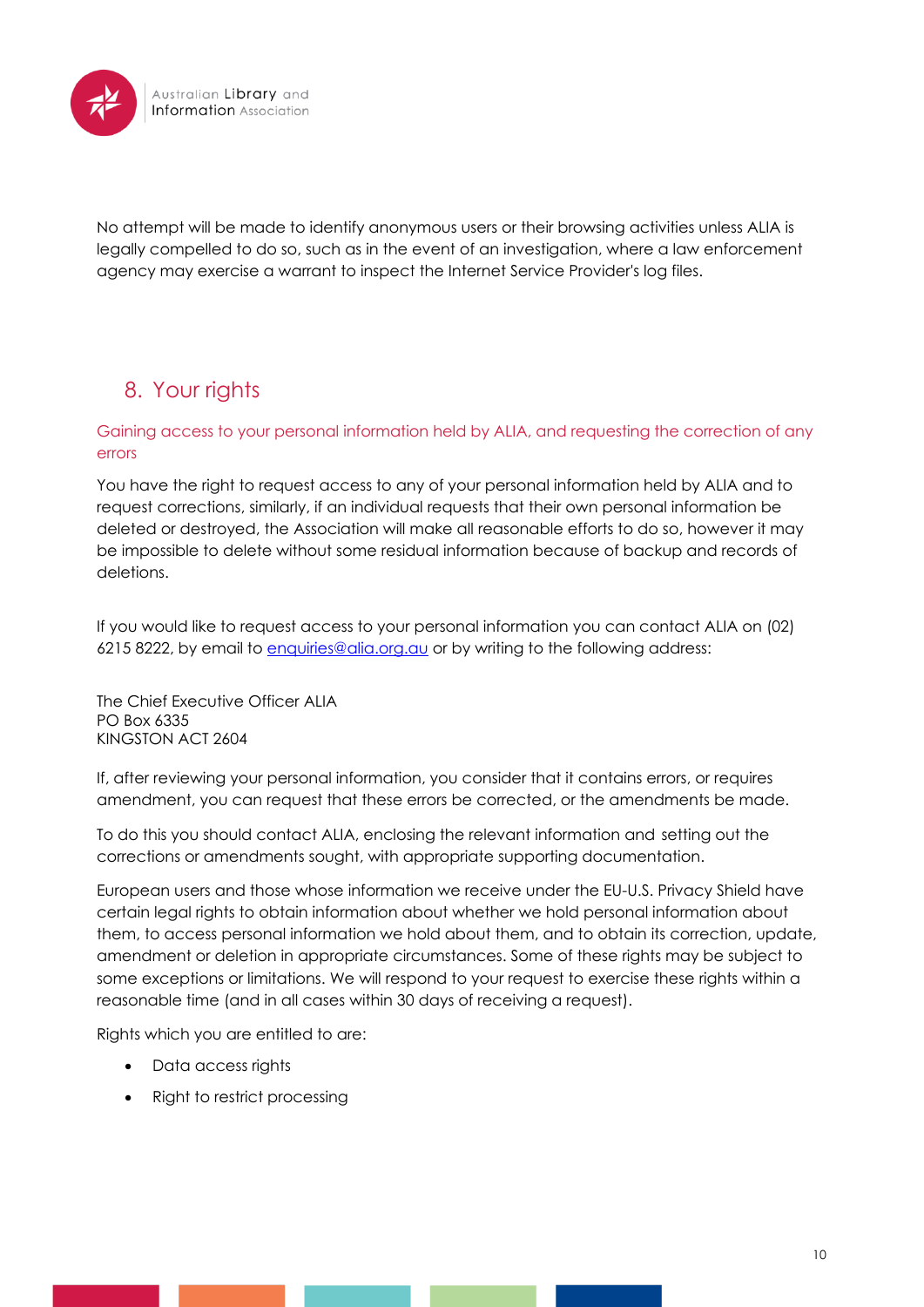

No attempt will be made to identify anonymous users or their browsing activities unless ALIA is legally compelled to do so, such as in the event of an investigation, where a law enforcement agency may exercise a warrant to inspect the Internet Service Provider's log files.

## <span id="page-9-0"></span>8. Your rights

#### <span id="page-9-1"></span>Gaining access to your personal information held by ALIA, and requesting the correction of any errors

You have the right to request access to any of your personal information held by ALIA and to request corrections, similarly, if an individual requests that their own personal information be deleted or destroyed, the Association will make all reasonable efforts to do so, however it may be impossible to delete without some residual information because of backup and records of deletions.

If you would like to request access to your personal information you can contact ALIA on (02) 6215 8222, by email to [enquiries@alia.org.au](mailto:enquiries@alia.org.au) or by writing to the following address:

The Chief Executive Officer ALIA PO Box 6335 KINGSTON ACT 2604

If, after reviewing your personal information, you consider that it contains errors, or requires amendment, you can request that these errors be corrected, or the amendments be made.

To do this you should contact ALIA, enclosing the relevant information and setting out the corrections or amendments sought, with appropriate supporting documentation.

European users and those whose information we receive under the EU-U.S. Privacy Shield have certain legal rights to obtain information about whether we hold personal information about them, to access personal information we hold about them, and to obtain its correction, update, amendment or deletion in appropriate circumstances. Some of these rights may be subject to some exceptions or limitations. We will respond to your request to exercise these rights within a reasonable time (and in all cases within 30 days of receiving a request).

Rights which you are entitled to are:

- Data access rights
- Right to restrict processing